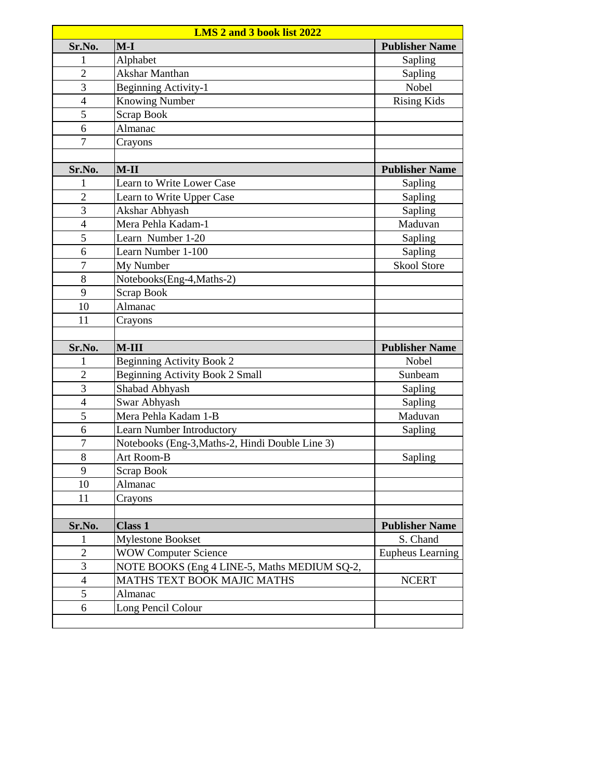| LMS 2 and 3 book list 2022 |                                                 |                         |  |  |
|----------------------------|-------------------------------------------------|-------------------------|--|--|
| Sr.No.                     | $M-I$                                           | <b>Publisher Name</b>   |  |  |
| 1                          | Alphabet                                        | Sapling                 |  |  |
| $\overline{2}$             | Akshar Manthan                                  | Sapling                 |  |  |
| $\overline{3}$             | <b>Beginning Activity-1</b>                     | Nobel                   |  |  |
| $\overline{4}$             | <b>Knowing Number</b>                           | <b>Rising Kids</b>      |  |  |
| 5                          | <b>Scrap Book</b>                               |                         |  |  |
| 6                          | Almanac                                         |                         |  |  |
| $\overline{7}$             | Crayons                                         |                         |  |  |
|                            |                                                 |                         |  |  |
| Sr.No.                     | $M-II$                                          | <b>Publisher Name</b>   |  |  |
| 1                          | Learn to Write Lower Case                       | Sapling                 |  |  |
| $\overline{2}$             | Learn to Write Upper Case                       | Sapling                 |  |  |
| 3                          | Akshar Abhyash                                  | Sapling                 |  |  |
| $\overline{4}$             | Mera Pehla Kadam-1                              | Maduvan                 |  |  |
| 5                          | Learn Number 1-20                               | Sapling                 |  |  |
| 6                          | Learn Number 1-100                              | Sapling                 |  |  |
| $\overline{7}$             | My Number                                       | <b>Skool Store</b>      |  |  |
| 8                          | Notebooks(Eng-4, Maths-2)                       |                         |  |  |
| 9                          | <b>Scrap Book</b>                               |                         |  |  |
| 10                         | Almanac                                         |                         |  |  |
| 11                         | Crayons                                         |                         |  |  |
|                            |                                                 |                         |  |  |
|                            |                                                 |                         |  |  |
| Sr.No.                     | $M-III$                                         | <b>Publisher Name</b>   |  |  |
| 1                          | Beginning Activity Book 2                       | <b>Nobel</b>            |  |  |
| $\overline{2}$             | <b>Beginning Activity Book 2 Small</b>          | Sunbeam                 |  |  |
| 3                          | Shabad Abhyash                                  | Sapling                 |  |  |
| $\overline{4}$             | Swar Abhyash                                    | Sapling                 |  |  |
| 5                          | Mera Pehla Kadam 1-B                            | Maduvan                 |  |  |
| 6                          | Learn Number Introductory                       | Sapling                 |  |  |
| $\overline{7}$             | Notebooks (Eng-3, Maths-2, Hindi Double Line 3) |                         |  |  |
| 8                          | Art Room-B                                      | Sapling                 |  |  |
| 9                          | Scrap Book                                      |                         |  |  |
| 10                         | Almanac                                         |                         |  |  |
| 11                         | Crayons                                         |                         |  |  |
|                            |                                                 |                         |  |  |
| Sr.No.                     | <b>Class 1</b>                                  | <b>Publisher Name</b>   |  |  |
| 1                          | <b>Mylestone Bookset</b>                        | S. Chand                |  |  |
| $\overline{2}$             | <b>WOW Computer Science</b>                     | <b>Eupheus Learning</b> |  |  |
| 3                          | NOTE BOOKS (Eng 4 LINE-5, Maths MEDIUM SQ-2,    |                         |  |  |
| $\overline{\mathcal{A}}$   | <b>MATHS TEXT BOOK MAJIC MATHS</b>              | <b>NCERT</b>            |  |  |
| 5                          | Almanac                                         |                         |  |  |
| 6                          | Long Pencil Colour                              |                         |  |  |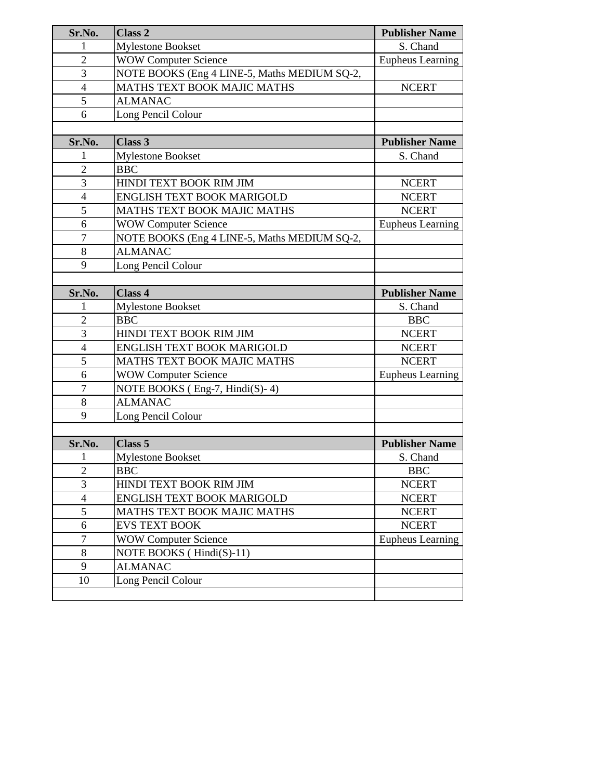| Sr.No.           | Class 2                                      | <b>Publisher Name</b>   |
|------------------|----------------------------------------------|-------------------------|
| 1                | <b>Mylestone Bookset</b>                     | S. Chand                |
| $\overline{2}$   | <b>WOW Computer Science</b>                  | Eupheus Learning        |
| 3                | NOTE BOOKS (Eng 4 LINE-5, Maths MEDIUM SQ-2, |                         |
| $\overline{4}$   | MATHS TEXT BOOK MAJIC MATHS                  | <b>NCERT</b>            |
| 5                | <b>ALMANAC</b>                               |                         |
| 6                | Long Pencil Colour                           |                         |
|                  |                                              |                         |
| Sr.No.           | Class 3                                      | <b>Publisher Name</b>   |
| 1                | <b>Mylestone Bookset</b>                     | S. Chand                |
| $\overline{2}$   | <b>BBC</b>                                   |                         |
| $\overline{3}$   | HINDI TEXT BOOK RIM JIM                      | <b>NCERT</b>            |
| $\overline{4}$   | ENGLISH TEXT BOOK MARIGOLD                   | <b>NCERT</b>            |
| 5                | MATHS TEXT BOOK MAJIC MATHS                  | <b>NCERT</b>            |
| 6                | <b>WOW Computer Science</b>                  | Eupheus Learning        |
| $\overline{7}$   | NOTE BOOKS (Eng 4 LINE-5, Maths MEDIUM SQ-2, |                         |
| 8                | <b>ALMANAC</b>                               |                         |
| 9                | Long Pencil Colour                           |                         |
|                  |                                              |                         |
| Sr.No.           | Class 4                                      | <b>Publisher Name</b>   |
| 1                | <b>Mylestone Bookset</b>                     | S. Chand                |
| $\overline{2}$   | <b>BBC</b>                                   | <b>BBC</b>              |
| 3                | HINDI TEXT BOOK RIM JIM                      | <b>NCERT</b>            |
| $\overline{4}$   | ENGLISH TEXT BOOK MARIGOLD                   | <b>NCERT</b>            |
| 5                | MATHS TEXT BOOK MAJIC MATHS                  | <b>NCERT</b>            |
| 6                | <b>WOW Computer Science</b>                  | Eupheus Learning        |
| $\overline{7}$   | NOTE BOOKS (Eng-7, Hindi(S)-4)               |                         |
| 8                | <b>ALMANAC</b>                               |                         |
| 9                | Long Pencil Colour                           |                         |
|                  |                                              |                         |
| Sr.No.           | Class <sub>5</sub>                           | <b>Publisher Name</b>   |
| 1                | <b>Mylestone Bookset</b>                     | S. Chand                |
| $\mathbf{2}$     | <b>BBC</b>                                   | <b>BBC</b>              |
| 3                | HINDI TEXT BOOK RIM JIM                      | <b>NCERT</b>            |
| $\overline{4}$   | ENGLISH TEXT BOOK MARIGOLD                   | <b>NCERT</b>            |
| 5                | MATHS TEXT BOOK MAJIC MATHS                  | <b>NCERT</b>            |
| 6                | <b>EVS TEXT BOOK</b>                         | <b>NCERT</b>            |
| $\boldsymbol{7}$ | <b>WOW Computer Science</b>                  | <b>Eupheus Learning</b> |
| 8                | NOTE BOOKS (Hindi(S)-11)                     |                         |
| 9                | <b>ALMANAC</b>                               |                         |
| 10               | Long Pencil Colour                           |                         |
|                  |                                              |                         |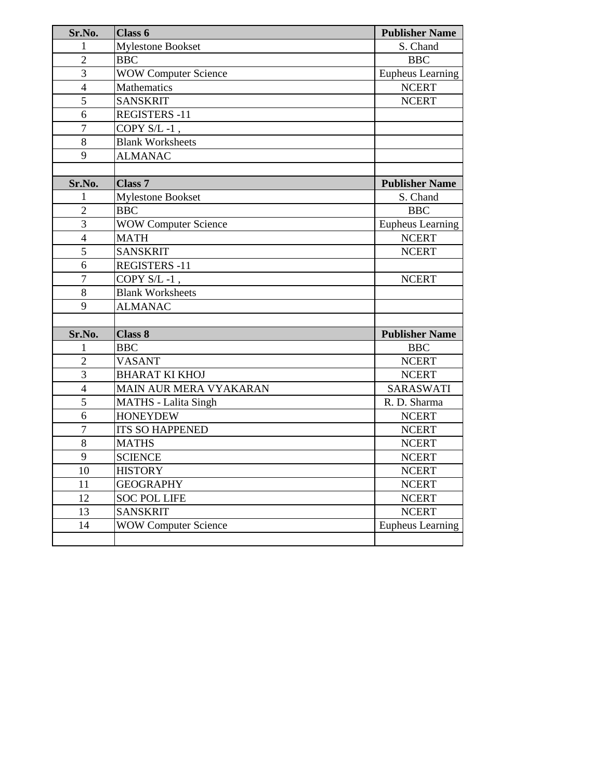| Sr.No.                  | Class 6                     | <b>Publisher Name</b> |
|-------------------------|-----------------------------|-----------------------|
| 1                       | <b>Mylestone Bookset</b>    | S. Chand              |
| $\overline{2}$          | <b>BBC</b>                  | <b>BBC</b>            |
| 3                       | <b>WOW Computer Science</b> | Eupheus Learning      |
| $\overline{4}$          | <b>Mathematics</b>          | <b>NCERT</b>          |
| 5                       | <b>SANSKRIT</b>             | <b>NCERT</b>          |
| 6                       | <b>REGISTERS -11</b>        |                       |
| $\overline{7}$          | COPY S/L-1,                 |                       |
| 8                       | <b>Blank Worksheets</b>     |                       |
| 9                       | <b>ALMANAC</b>              |                       |
|                         |                             |                       |
| Sr.No.                  | <b>Class 7</b>              | <b>Publisher Name</b> |
| 1                       | <b>Mylestone Bookset</b>    | S. Chand              |
| $\overline{2}$          | <b>BBC</b>                  | <b>BBC</b>            |
| 3                       | <b>WOW Computer Science</b> | Eupheus Learning      |
| $\overline{4}$          | <b>MATH</b>                 | <b>NCERT</b>          |
| 5                       | <b>SANSKRIT</b>             | <b>NCERT</b>          |
| 6                       | <b>REGISTERS -11</b>        |                       |
| $\overline{7}$          | COPY S/L-1,                 | <b>NCERT</b>          |
| 8                       | <b>Blank Worksheets</b>     |                       |
| 9                       | <b>ALMANAC</b>              |                       |
|                         |                             |                       |
| Sr.No.                  | <b>Class 8</b>              | <b>Publisher Name</b> |
| 1                       | <b>BBC</b>                  | <b>BBC</b>            |
| $\overline{2}$          | <b>VASANT</b>               | <b>NCERT</b>          |
| 3                       | <b>BHARAT KI KHOJ</b>       | <b>NCERT</b>          |
| $\overline{\mathbf{4}}$ | MAIN AUR MERA VYAKARAN      | <b>SARASWATI</b>      |
| 5                       | <b>MATHS</b> - Lalita Singh | R. D. Sharma          |
| 6                       | <b>HONEYDEW</b>             | <b>NCERT</b>          |
| $\overline{7}$          | <b>ITS SO HAPPENED</b>      | <b>NCERT</b>          |
| 8                       | <b>MATHS</b>                | <b>NCERT</b>          |
| 9                       | <b>SCIENCE</b>              | <b>NCERT</b>          |
| 10                      | <b>HISTORY</b>              | <b>NCERT</b>          |
| 11                      | <b>GEOGRAPHY</b>            | <b>NCERT</b>          |
| 12                      | <b>SOC POL LIFE</b>         | <b>NCERT</b>          |
| 13                      | <b>SANSKRIT</b>             | <b>NCERT</b>          |
| 14                      | <b>WOW Computer Science</b> | Eupheus Learning      |
|                         |                             |                       |